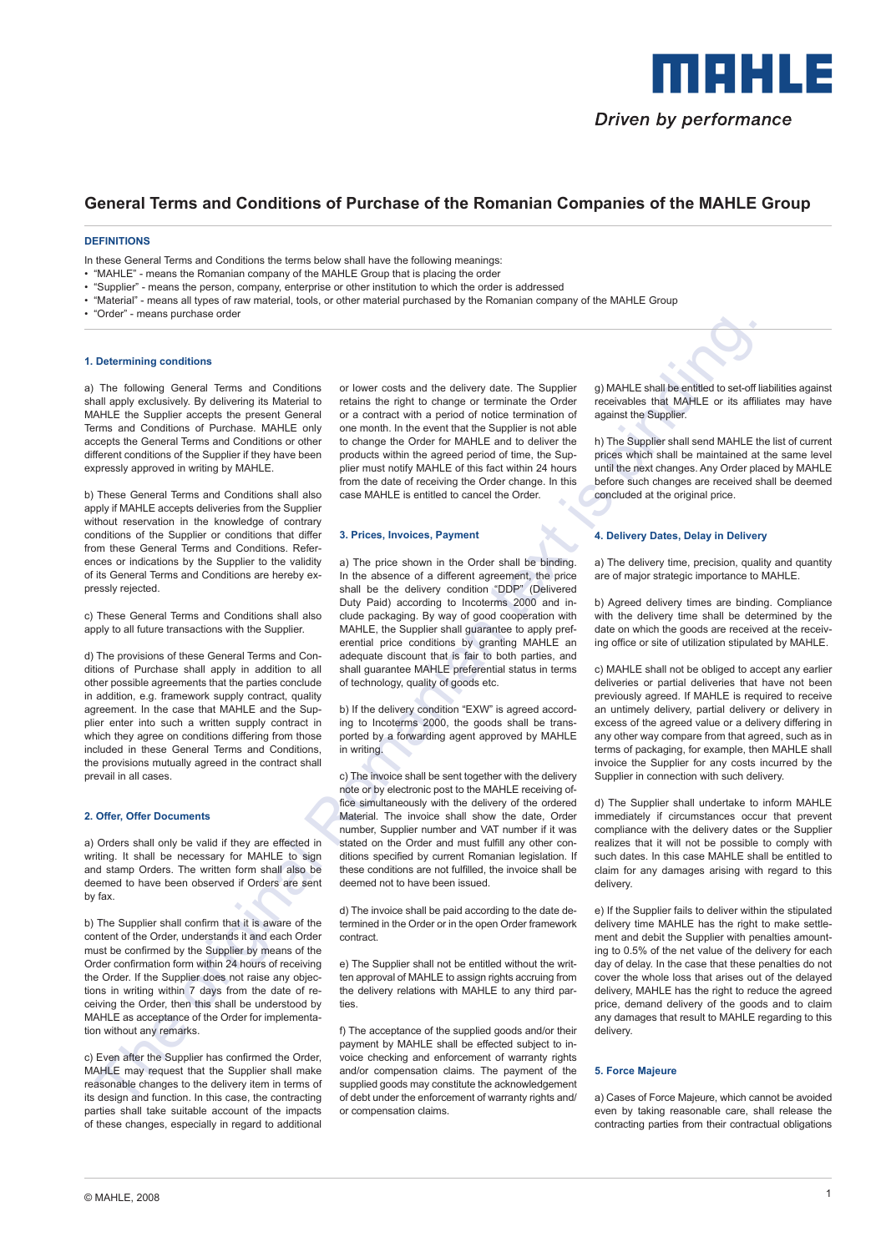

# **General Terms and Conditions of Purchase of the Romanian Companies of the MAHLE Group**

# **DEFINITIONS**

In these General Terms and Conditions the terms below shall have the following meanings:

- "MAHLE" means the Romanian company of the MAHLE Group that is placing the order
- "Supplier" means the person, company, enterprise or other institution to which the order is addressed
- "Material" means all types of raw material, tools, or other material purchased by the Romanian company of the MAHLE Group
- "Order" means purchase order

#### **1. Determining conditions**

a) The following General Terms and Conditions shall apply exclusively. By delivering its Material to MAHLE the Supplier accepts the present General Terms and Conditions of Purchase. MAHLE only accepts the General Terms and Conditions or other different conditions of the Supplier if they have been expressly approved in writing by MAHLE.

b) These General Terms and Conditions shall also apply if MAHLE accepts deliveries from the Supplier without reservation in the knowledge of contrary conditions of the Supplier or conditions that differ from these General Terms and Conditions. References or indications by the Supplier to the validity of its General Terms and Conditions are hereby expressly rejected.

c) These General Terms and Conditions shall also apply to all future transactions with the Supplier.

d) The provisions of these General Terms and Conditions of Purchase shall apply in addition to all other possible agreements that the parties conclude in addition, e.g. framework supply contract, quality agreement. In the case that MAHLE and the Supplier enter into such a written supply contract in which they agree on conditions differing from those included in these General Terms and Conditions, the provisions mutually agreed in the contract shall prevail in all cases.

#### **2. Offer, Offer Documents**

a) Orders shall only be valid if they are effected in writing. It shall be necessary for MAHLE to sign and stamp Orders. The written form shall also be deemed to have been observed if Orders are sent by fax.

b) The Supplier shall confirm that it is aware of the content of the Order, understands it and each Order must be confirmed by the Supplier by means of the Order confirmation form within 24 hours of receiving the Order. If the Supplier does not raise any objections in writing within 7 days from the date of receiving the Order, then this shall be understood by MAHLE as acceptance of the Order for implementation without any remarks.

c) Even after the Supplier has confirmed the Order, MAHLE may request that the Supplier shall make reasonable changes to the delivery item in terms of its design and function. In this case, the contracting parties shall take suitable account of the impacts of these changes, especially in regard to additional

or lower costs and the delivery date. The Supplier retains the right to change or terminate the Order or a contract with a period of notice termination of one month. In the event that the Supplier is not able to change the Order for MAHLE and to deliver the products within the agreed period of time, the Supplier must notify MAHLE of this fact within 24 hours from the date of receiving the Order change. In this case MAHLE is entitled to cancel the Order.

#### **3. Prices, Invoices, Payment**

Determining conditions<br>
The three conditions are conditions of lower code and the determining conditions and the sample of the conserver of the conditions of the conditions of the conserver of the conserver of the conserv a) The price shown in the Order shall be binding. In the absence of a different agreement, the price shall be the delivery condition "DDP" (Delivered Duty Paid) according to Incoterms 2000 and include packaging. By way of good cooperation with MAHLE, the Supplier shall guarantee to apply preferential price conditions by granting MAHLE an adequate discount that is fair to both parties, and shall guarantee MAHLE preferential status in terms of technology, quality of goods etc.

b) If the delivery condition "EXW" is agreed according to Incoterms 2000, the goods shall be transported by a forwarding agent approved by MAHLE in writing.

c) The invoice shall be sent together with the delivery note or by electronic post to the MAHLE receiving office simultaneously with the delivery of the ordered Material. The invoice shall show the date, Order number, Supplier number and VAT number if it was stated on the Order and must fulfill any other conditions specified by current Romanian legislation. If these conditions are not fulfilled, the invoice shall be deemed not to have been issued.

d) The invoice shall be paid according to the date determined in the Order or in the open Order framework contract.

e) The Supplier shall not be entitled without the written approval of MAHLE to assign rights accruing from the delivery relations with MAHLE to any third parties.

f) The acceptance of the supplied goods and/or their payment by MAHLE shall be effected subject to invoice checking and enforcement of warranty rights and/or compensation claims. The payment of the supplied goods may constitute the acknowledgement of debt under the enforcement of warranty rights and/ or compensation claims.

g) MAHLE shall be entitled to set-off liabilities against receivables that MAHLE or its affiliates may have against the Supplier.

h) The Supplier shall send MAHLE the list of current prices which shall be maintained at the same level until the next changes. Any Order placed by MAHLE before such changes are received shall be deemed concluded at the original price.

## **4. Delivery Dates, Delay in Delivery**

a) The delivery time, precision, quality and quantity are of major strategic importance to MAHLE.

b) Agreed delivery times are binding. Compliance with the delivery time shall be determined by the date on which the goods are received at the receiving office or site of utilization stipulated by MAHLE.

c) MAHLE shall not be obliged to accept any earlier deliveries or partial deliveries that have not been previously agreed. If MAHLE is required to receive an untimely delivery, partial delivery or delivery in excess of the agreed value or a delivery differing in any other way compare from that agreed, such as in terms of packaging, for example, then MAHLE shall invoice the Supplier for any costs incurred by the Supplier in connection with such delivery.

d) The Supplier shall undertake to inform MAHLE immediately if circumstances occur that prevent compliance with the delivery dates or the Supplier realizes that it will not be possible to comply with such dates. In this case MAHLE shall be entitled to claim for any damages arising with regard to this delivery.

e) If the Supplier fails to deliver within the stipulated delivery time MAHLE has the right to make settlement and debit the Supplier with penalties amounting to 0.5% of the net value of the delivery for each day of delay. In the case that these penalties do not cover the whole loss that arises out of the delayed delivery, MAHLE has the right to reduce the agreed price, demand delivery of the goods and to claim any damages that result to MAHLE regarding to this delivery.

#### **5. Force Majeure**

a) Cases of Force Majeure, which cannot be avoided even by taking reasonable care, shall release the contracting parties from their contractual obligations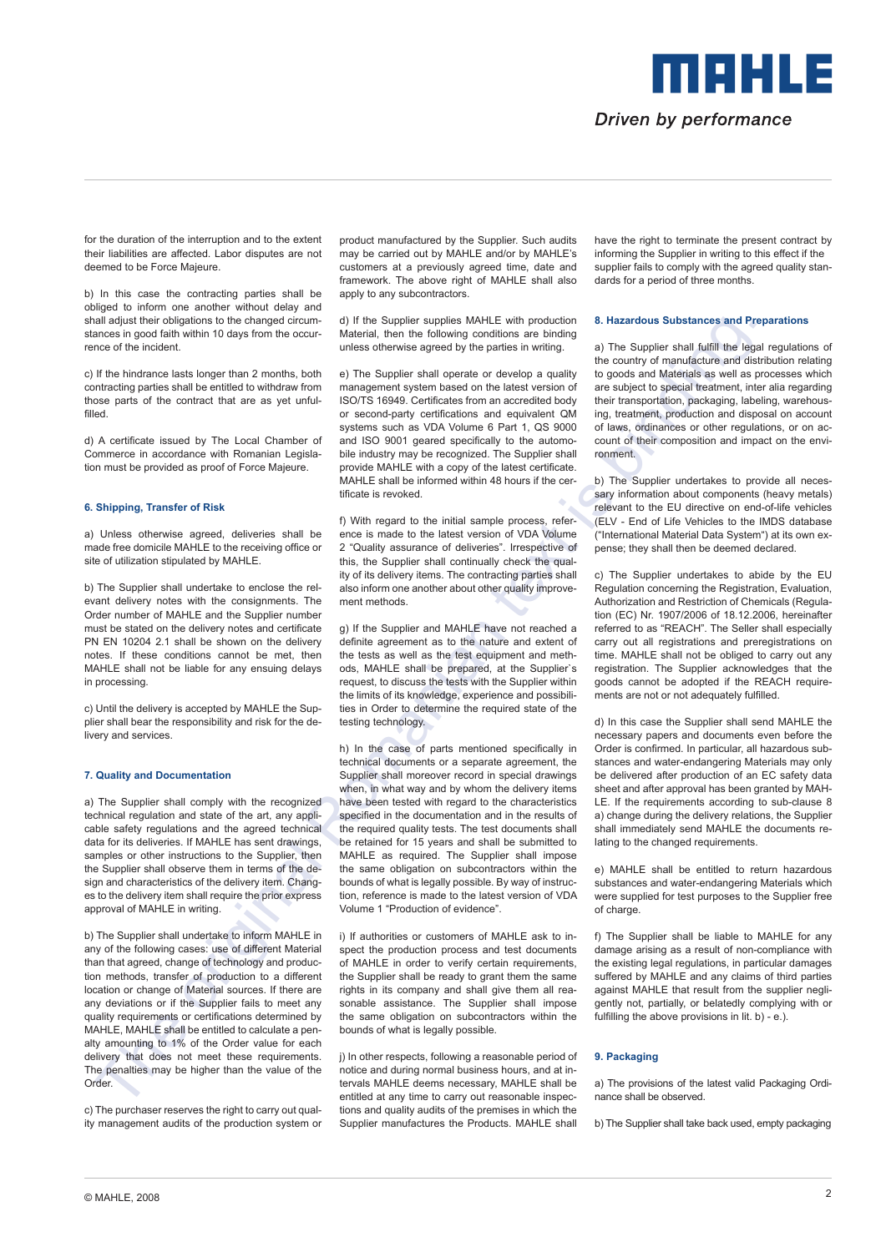

for the duration of the interruption and to the extent their liabilities are affected. Labor disputes are not deemed to be Force Majeure.

b) In this case the contracting parties shall be obliged to inform one another without delay and shall adjust their obligations to the changed circumstances in good faith within 10 days from the occurrence of the incident.

c) If the hindrance lasts longer than 2 months, both contracting parties shall be entitled to withdraw from those parts of the contract that are as yet unfulfilled.

d) A certificate issued by The Local Chamber of Commerce in accordance with Romanian Legislation must be provided as proof of Force Majeure.

#### **6. Shipping, Transfer of Risk**

a) Unless otherwise agreed, deliveries shall be made free domicile MAHLE to the receiving office or site of utilization stipulated by MAHLE.

b) The Supplier shall undertake to enclose the relevant delivery notes with the consignments. The Order number of MAHLE and the Supplier number must be stated on the delivery notes and certificate PN EN 10204 2.1 shall be shown on the delivery notes. If these conditions cannot be met, then MAHLE shall not be liable for any ensuing delays in processing.

c) Until the delivery is accepted by MAHLE the Supplier shall bear the responsibility and risk for the delivery and services.

#### **7. Quality and Documentation**

a) The Supplier shall comply with the recognized technical regulation and state of the art, any applicable safety regulations and the agreed technical data for its deliveries. If MAHLE has sent drawings, samples or other instructions to the Supplier, then the Supplier shall observe them in terms of the design and characteristics of the delivery item. Changes to the delivery item shall require the prior express approval of MAHLE in writing.

b) The Supplier shall undertake to inform MAHLE in any of the following cases: use of different Material than that agreed, change of technology and production methods, transfer of production to a different location or change of Material sources. If there are any deviations or if the Supplier fails to meet any quality requirements or certifications determined by MAHLE, MAHLE shall be entitled to calculate a penalty amounting to 1% of the Order value for each delivery that does not meet these requirements. The penalties may be higher than the value of the Order<sub>.</sub>

c) The purchaser reserves the right to carry out quality management audits of the production system or product manufactured by the Supplier. Such audits may be carried out by MAHLE and/or by MAHLE's customers at a previously agreed time, date and framework. The above right of MAHLE shall also apply to any subcontractors.

d) If the Supplier supplies MAHLE with production Material, then the following conditions are binding unless otherwise agreed by the parties in writing.

e) The Supplier shall operate or develop a quality management system based on the latest version of ISO/TS 16949. Certificates from an accredited body or second-party certifications and equivalent QM systems such as VDA Volume 6 Part 1, QS 9000 and ISO 9001 geared specifically to the automobile industry may be recognized. The Supplier shall provide MAHLE with a copy of the latest certificate. MAHLE shall be informed within 48 hours if the certificate is revoked.

f) With regard to the initial sample process, reference is made to the latest version of VDA Volume 2 "Quality assurance of deliveries". Irrespective of this, the Supplier shall continually check the quality of its delivery items. The contracting parties shall also inform one another about other quality improvement methods.

g) If the Supplier and MAHLE have not reached a definite agreement as to the nature and extent of the tests as well as the test equipment and methods, MAHLE shall be prepared, at the Supplier`s request, to discuss the tests with the Supplier within the limits of its knowledge, experience and possibilities in Order to determine the required state of the testing technology.

In algo that may be a mappel of the Sample and the sample of the sample of the sample of the sample of the sample of the sample of the sample of the sample of the sample of the sample of the sample of the sample of the sa h) In the case of parts mentioned specifically in technical documents or a separate agreement, the Supplier shall moreover record in special drawings when, in what way and by whom the delivery items have been tested with regard to the characteristics specified in the documentation and in the results of the required quality tests. The test documents shall be retained for 15 years and shall be submitted to MAHLE as required. The Supplier shall impose the same obligation on subcontractors within the bounds of what is legally possible. By way of instruction, reference is made to the latest version of VDA Volume 1 "Production of evidence".

i) If authorities or customers of MAHLE ask to inspect the production process and test documents of MAHLE in order to verify certain requirements, the Supplier shall be ready to grant them the same rights in its company and shall give them all reasonable assistance. The Supplier shall impose the same obligation on subcontractors within the bounds of what is legally possible.

j) In other respects, following a reasonable period of notice and during normal business hours, and at intervals MAHLE deems necessary, MAHLE shall be entitled at any time to carry out reasonable inspections and quality audits of the premises in which the Supplier manufactures the Products. MAHLE shall have the right to terminate the present contract by informing the Supplier in writing to this effect if the supplier fails to comply with the agreed quality standards for a period of three months.

#### **8. Hazardous Substances and Preparations**

a) The Supplier shall fulfill the legal regulations of the country of manufacture and distribution relating to goods and Materials as well as processes which are subject to special treatment, inter alia regarding their transportation, packaging, labeling, warehousing, treatment, production and disposal on account of laws, ordinances or other regulations, or on account of their composition and impact on the environment.

b) The Supplier undertakes to provide all necessary information about components (heavy metals) relevant to the EU directive on end-of-life vehicles (ELV - End of Life Vehicles to the IMDS database ("International Material Data System") at its own expense; they shall then be deemed declared.

c) The Supplier undertakes to abide by the EU Regulation concerning the Registration, Evaluation, Authorization and Restriction of Chemicals (Regulation (EC) Nr. 1907/2006 of 18.12.2006, hereinafter referred to as "REACH". The Seller shall especially carry out all registrations and preregistrations on time. MAHLE shall not be obliged to carry out any registration. The Supplier acknowledges that the goods cannot be adopted if the REACH requirements are not or not adequately fulfilled.

d) In this case the Supplier shall send MAHLE the necessary papers and documents even before the Order is confirmed. In particular, all hazardous substances and water-endangering Materials may only be delivered after production of an EC safety data sheet and after approval has been granted by MAH-LE. If the requirements according to sub-clause 8 a) change during the delivery relations, the Supplier shall immediately send MAHLE the documents relating to the changed requirements.

e) MAHLE shall be entitled to return hazardous substances and water-endangering Materials which were supplied for test purposes to the Supplier free of charge.

f) The Supplier shall be liable to MAHLE for any damage arising as a result of non-compliance with the existing legal regulations, in particular damages suffered by MAHLE and any claims of third parties against MAHLE that result from the supplier negligently not, partially, or belatedly complying with or fulfilling the above provisions in lit. b) - e.).

# **9. Packaging**

a) The provisions of the latest valid Packaging Ordinance shall be observed.

b) The Supplier shall take back used, empty packaging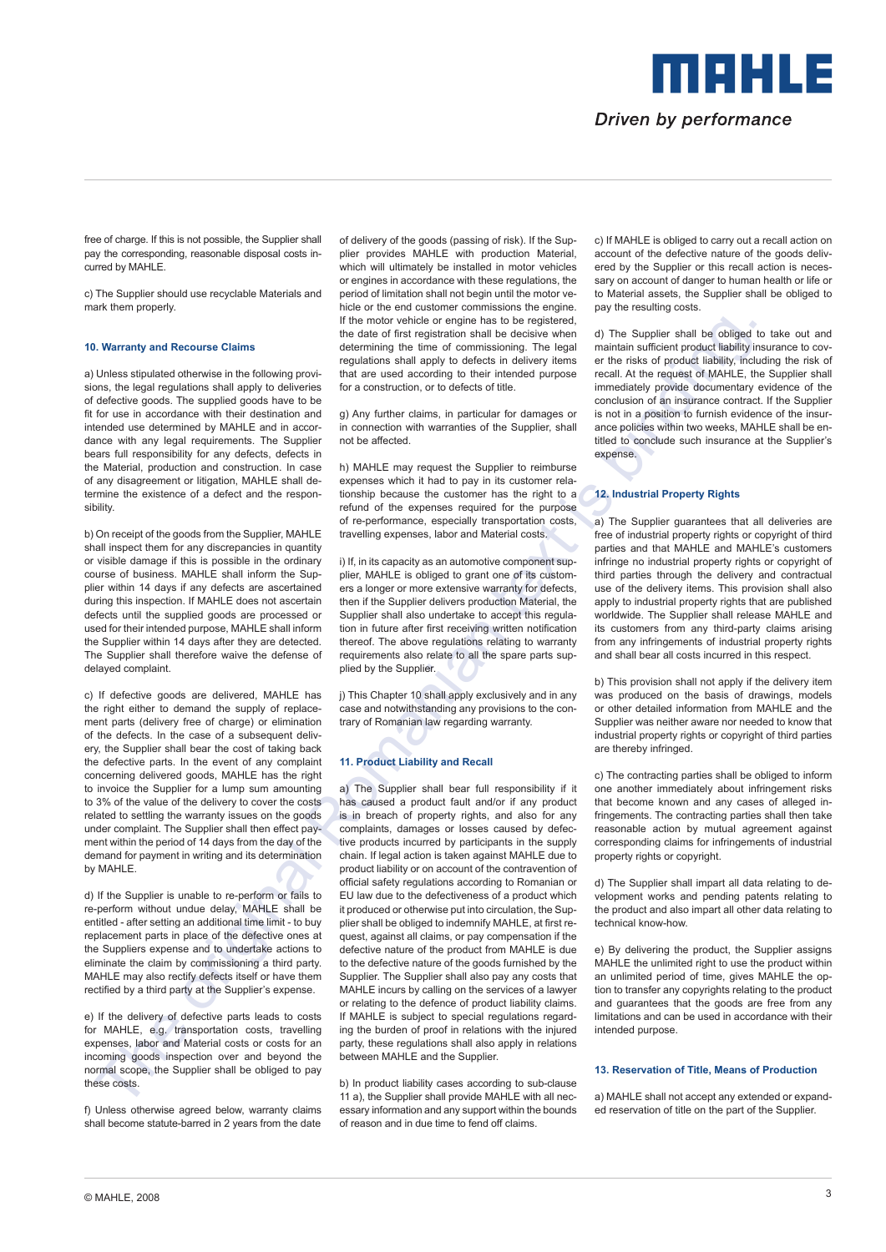meesta s Driven by performance

free of charge. If this is not possible, the Supplier shall pay the corresponding, reasonable disposal costs incurred by MAHLE.

c) The Supplier should use recyclable Materials and mark them properly.

# **10. Warranty and Recourse Claims**

a) Unless stipulated otherwise in the following provisions, the legal regulations shall apply to deliveries of defective goods. The supplied goods have to be fit for use in accordance with their destination and intended use determined by MAHLE and in accordance with any legal requirements. The Supplier bears full responsibility for any defects, defects in the Material, production and construction. In case of any disagreement or litigation, MAHLE shall determine the existence of a defect and the responsibility.

b) On receipt of the goods from the Supplier, MAHLE shall inspect them for any discrepancies in quantity or visible damage if this is possible in the ordinary course of business. MAHLE shall inform the Supplier within 14 days if any defects are ascertained during this inspection. If MAHLE does not ascertain defects until the supplied goods are processed or used for their intended purpose, MAHLE shall inform the Supplier within 14 days after they are detected. The Supplier shall therefore waive the defense of delayed complaint.

c) If defective goods are delivered, MAHLE has the right either to demand the supply of replacement parts (delivery free of charge) or elimination of the defects. In the case of a subsequent delivery, the Supplier shall bear the cost of taking back the defective parts. In the event of any complaint concerning delivered goods, MAHLE has the right to invoice the Supplier for a lump sum amounting to 3% of the value of the delivery to cover the costs related to settling the warranty issues on the goods under complaint. The Supplier shall then effect payment within the period of 14 days from the day of the demand for payment in writing and its determination by MAHLE.

d) If the Supplier is unable to re-perform or fails to re-perform without undue delay, MAHLE shall be entitled - after setting an additional time limit - to buy replacement parts in place of the defective ones at the Suppliers expense and to undertake actions to eliminate the claim by commissioning a third party. MAHLE may also rectify defects itself or have them rectified by a third party at the Supplier's expense.

e) If the delivery of defective parts leads to costs for MAHLE, e.g. transportation costs, travelling expenses, labor and Material costs or costs for an incoming goods inspection over and beyond the normal scope, the Supplier shall be obliged to pay these costs.

f) Unless otherwise agreed below, warranty claims shall become statute-barred in 2 years from the date of delivery of the goods (passing of risk). If the Supplier provides MAHLE with production Material, which will ultimately be installed in motor vehicles or engines in accordance with these regulations, the period of limitation shall not begin until the motor vehicle or the end customer commissions the engine. If the motor vehicle or engine has to be registered, the date of first registration shall be decisive when determining the time of commissioning. The legal regulations shall apply to defects in delivery items that are used according to their intended purpose for a construction, or to defects of title.

g) Any further claims, in particular for damages or in connection with warranties of the Supplier, shall not be affected.

h) MAHLE may request the Supplier to reimburse expenses which it had to pay in its customer relationship because the customer has the right to a refund of the expenses required for the purpose of re-performance, especially transportation costs, travelling expenses, labor and Material costs.

i) If, in its capacity as an automotive component supplier, MAHLE is obliged to grant one of its customers a longer or more extensive warranty for defects, then if the Supplier delivers production Material, the Supplier shall also undertake to accept this regulation in future after first receiving written notification thereof. The above regulations relating to warranty requirements also relate to all the spare parts supplied by the Supplier.

j) This Chapter 10 shall apply exclusively and in any case and notwithstanding any provisions to the contrary of Romanian law regarding warranty.

### **11. Product Liability and Recall**

Using the first of the motivation of the motivation is the motivation in the buying the solution in the solution of the motivation of the solution of the solution of the solution of the solution of the solution of the sol a) The Supplier shall bear full responsibility if it has caused a product fault and/or if any product is in breach of property rights, and also for any complaints, damages or losses caused by defective products incurred by participants in the supply chain. If legal action is taken against MAHLE due to product liability or on account of the contravention of official safety regulations according to Romanian or EU law due to the defectiveness of a product which it produced or otherwise put into circulation, the Supplier shall be obliged to indemnify MAHLE, at first request, against all claims, or pay compensation if the defective nature of the product from MAHLE is due to the defective nature of the goods furnished by the Supplier. The Supplier shall also pay any costs that MAHLE incurs by calling on the services of a lawyer or relating to the defence of product liability claims. If MAHLE is subject to special regulations regarding the burden of proof in relations with the injured party, these regulations shall also apply in relations between MAHLE and the Supplier.

b) In product liability cases according to sub-clause 11 a), the Supplier shall provide MAHLE with all necessary information and any support within the bounds of reason and in due time to fend off claims.

c) If MAHLE is obliged to carry out a recall action on account of the defective nature of the goods delivered by the Supplier or this recall action is necessary on account of danger to human health or life or to Material assets, the Supplier shall be obliged to pay the resulting costs.

d) The Supplier shall be obliged to take out and maintain sufficient product liability insurance to cover the risks of product liability, including the risk of recall. At the request of MAHLE, the Supplier shall immediately provide documentary evidence of the conclusion of an insurance contract. If the Supplier is not in a position to furnish evidence of the insurance policies within two weeks, MAHLE shall be entitled to conclude such insurance at the Supplier's expense.

### **12. Industrial Property Rights**

a) The Supplier guarantees that all deliveries are free of industrial property rights or copyright of third parties and that MAHLE and MAHLE's customers infringe no industrial property rights or copyright of third parties through the delivery and contractual use of the delivery items. This provision shall also apply to industrial property rights that are published worldwide. The Supplier shall release MAHLE and its customers from any third-party claims arising from any infringements of industrial property rights and shall bear all costs incurred in this respect.

b) This provision shall not apply if the delivery item was produced on the basis of drawings, models or other detailed information from MAHLE and the Supplier was neither aware nor needed to know that industrial property rights or copyright of third parties are thereby infringed.

c) The contracting parties shall be obliged to inform one another immediately about infringement risks that become known and any cases of alleged infringements. The contracting parties shall then take reasonable action by mutual agreement against corresponding claims for infringements of industrial property rights or copyright.

d) The Supplier shall impart all data relating to development works and pending patents relating to the product and also impart all other data relating to technical know-how.

e) By delivering the product, the Supplier assigns MAHLE the unlimited right to use the product within an unlimited period of time, gives MAHLE the option to transfer any copyrights relating to the product and guarantees that the goods are free from any limitations and can be used in accordance with their intended purpose.

# **13. Reservation of Title, Means of Production**

a) MAHLE shall not accept any extended or expanded reservation of title on the part of the Supplier.